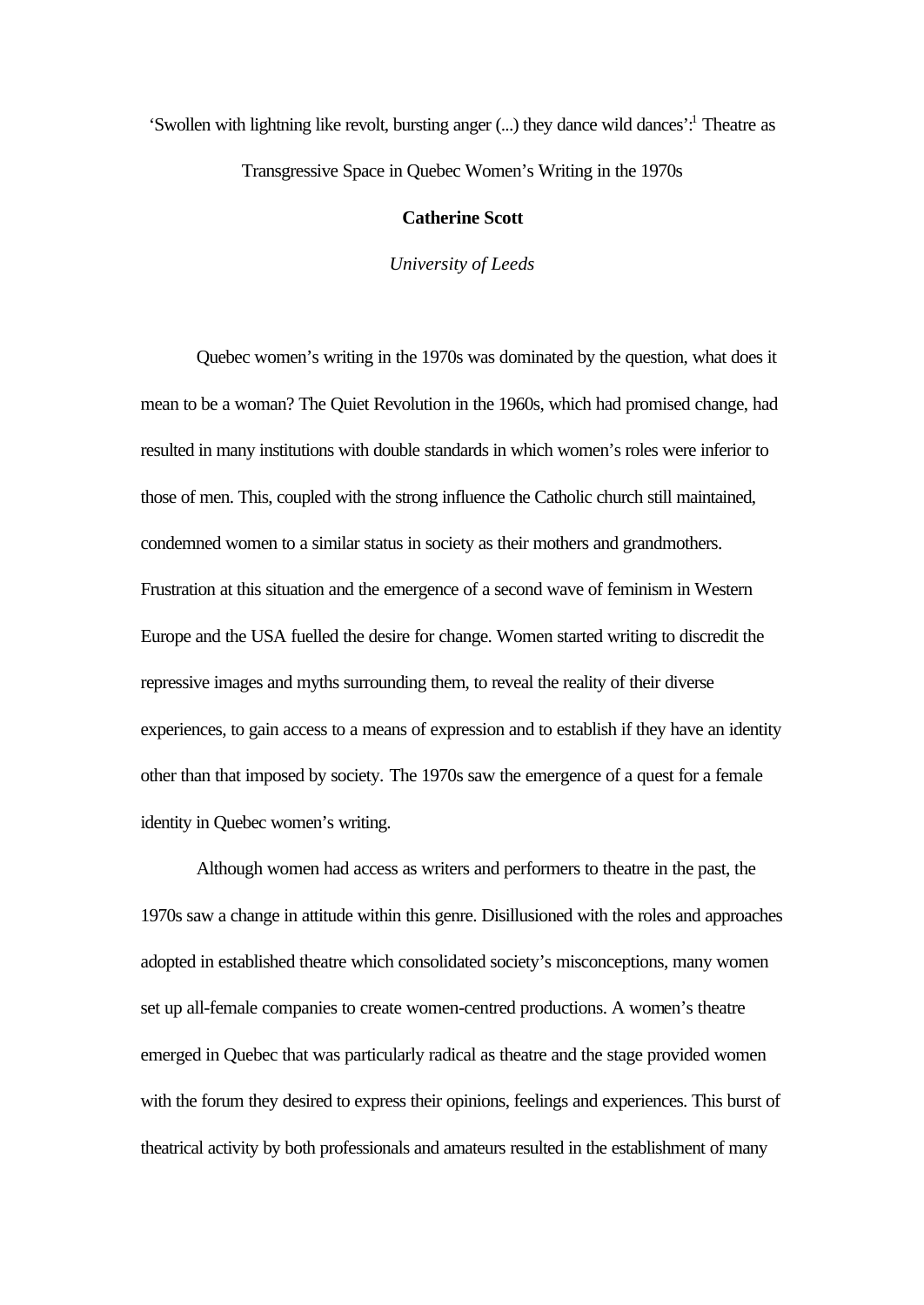'Swollen with lightning like revolt, bursting anger (...) they dance wild dances':<sup>1</sup> Theatre as Transgressive Space in Quebec Women's Writing in the 1970s

## **Catherine Scott**

*University of Leeds*

Quebec women's writing in the 1970s was dominated by the question, what does it mean to be a woman? The Quiet Revolution in the 1960s, which had promised change, had resulted in many institutions with double standards in which women's roles were inferior to those of men. This, coupled with the strong influence the Catholic church still maintained, condemned women to a similar status in society as their mothers and grandmothers. Frustration at this situation and the emergence of a second wave of feminism in Western Europe and the USA fuelled the desire for change. Women started writing to discredit the repressive images and myths surrounding them, to reveal the reality of their diverse experiences, to gain access to a means of expression and to establish if they have an identity other than that imposed by society. The 1970s saw the emergence of a quest for a female identity in Quebec women's writing.

Although women had access as writers and performers to theatre in the past, the 1970s saw a change in attitude within this genre. Disillusioned with the roles and approaches adopted in established theatre which consolidated society's misconceptions, many women set up all-female companies to create women-centred productions. A women's theatre emerged in Quebec that was particularly radical as theatre and the stage provided women with the forum they desired to express their opinions, feelings and experiences. This burst of theatrical activity by both professionals and amateurs resulted in the establishment of many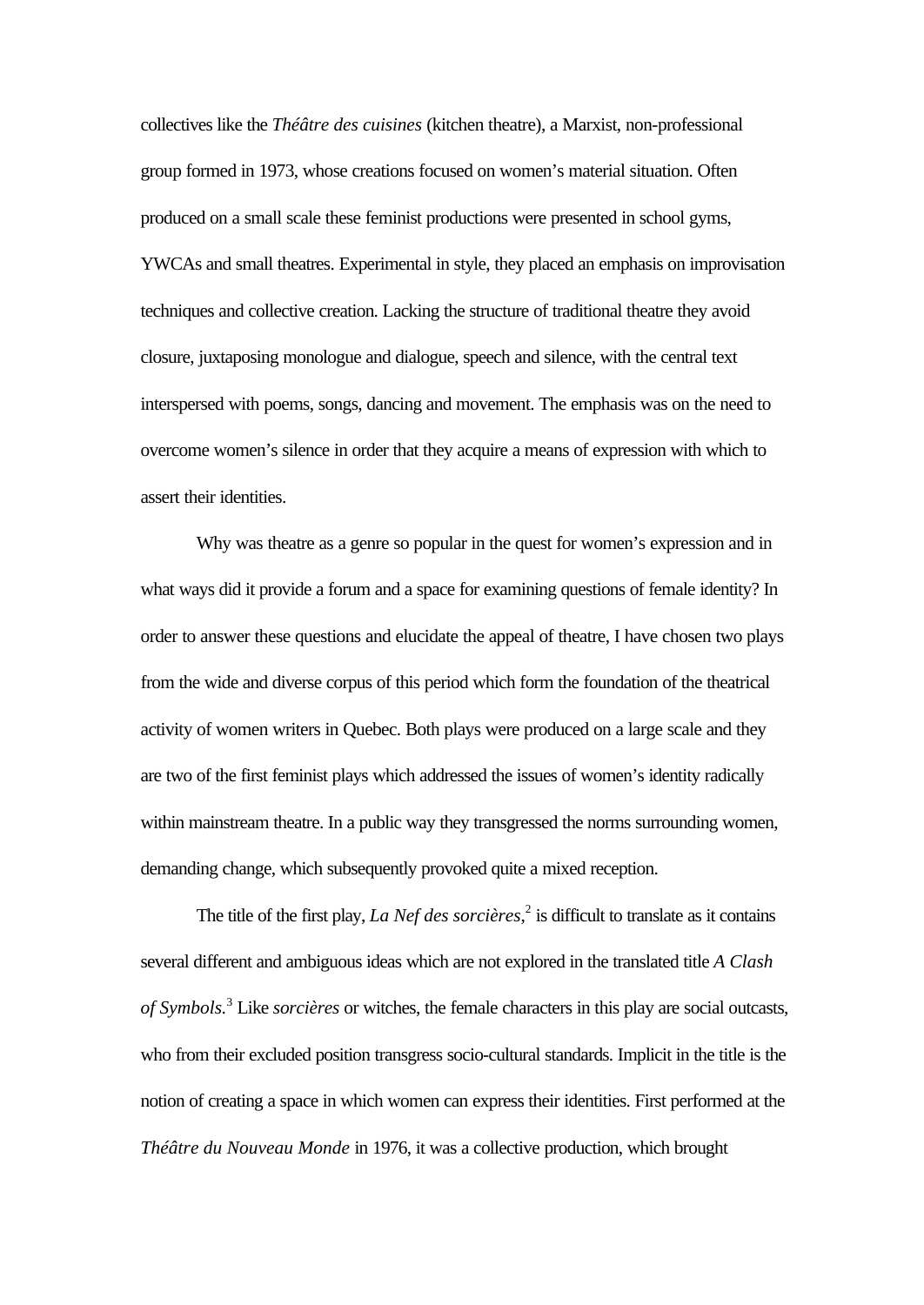collectives like the *Théâtre des cuisines* (kitchen theatre), a Marxist, non-professional group formed in 1973, whose creations focused on women's material situation. Often produced on a small scale these feminist productions were presented in school gyms, YWCAs and small theatres. Experimental in style, they placed an emphasis on improvisation techniques and collective creation. Lacking the structure of traditional theatre they avoid closure, juxtaposing monologue and dialogue, speech and silence, with the central text interspersed with poems, songs, dancing and movement. The emphasis was on the need to overcome women's silence in order that they acquire a means of expression with which to assert their identities.

Why was theatre as a genre so popular in the quest for women's expression and in what ways did it provide a forum and a space for examining questions of female identity? In order to answer these questions and elucidate the appeal of theatre, I have chosen two plays from the wide and diverse corpus of this period which form the foundation of the theatrical activity of women writers in Quebec. Both plays were produced on a large scale and they are two of the first feminist plays which addressed the issues of women's identity radically within mainstream theatre. In a public way they transgressed the norms surrounding women, demanding change, which subsequently provoked quite a mixed reception.

The title of the first play, *La Nef des sorcières*,<sup>2</sup> is difficult to translate as it contains several different and ambiguous ideas which are not explored in the translated title *A Clash of Symbols.*<sup>3</sup> Like *sorcières* or witches, the female characters in this play are social outcasts, who from their excluded position transgress socio-cultural standards. Implicit in the title is the notion of creating a space in which women can express their identities. First performed at the *Théâtre du Nouveau Monde* in 1976, it was a collective production, which brought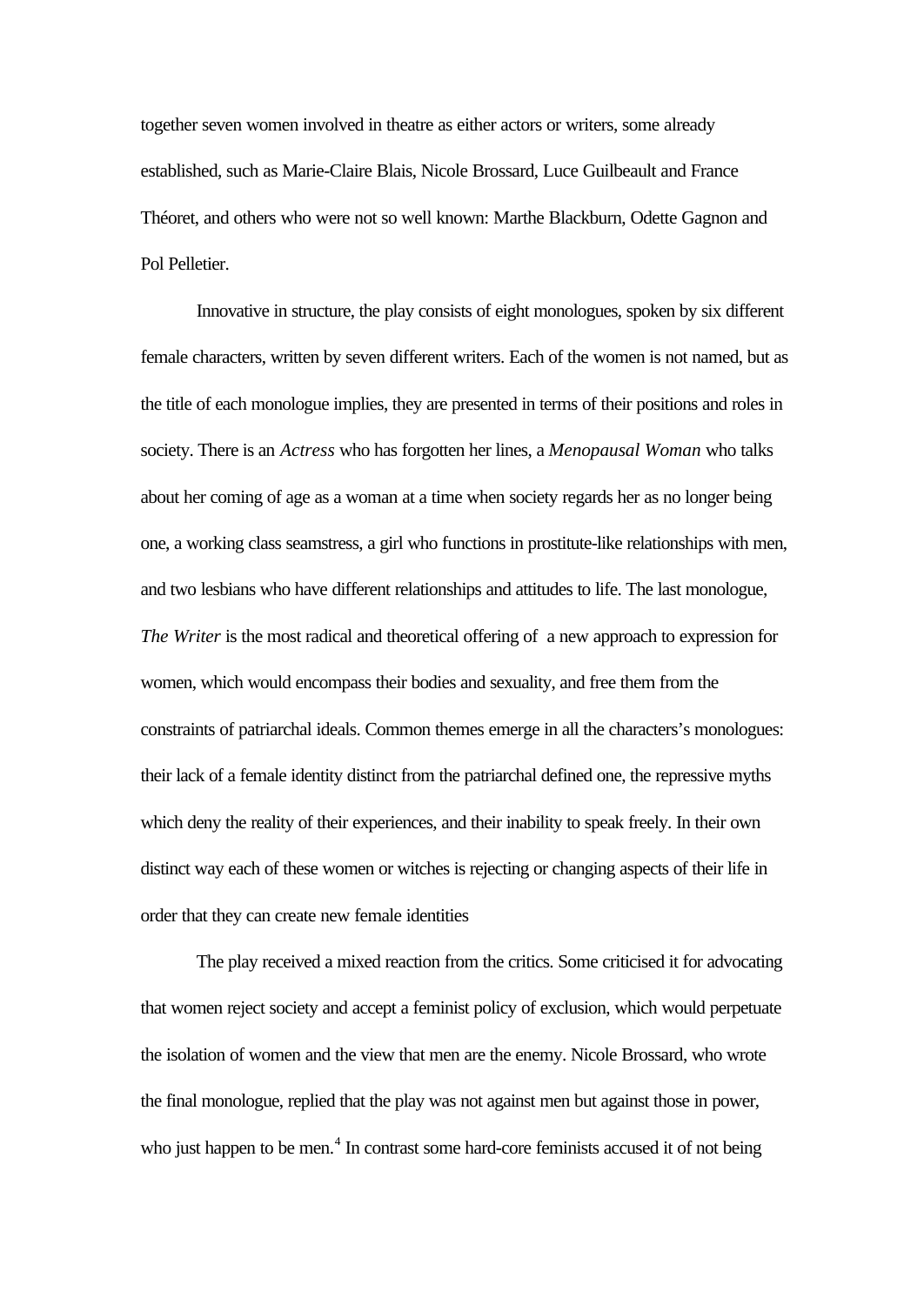together seven women involved in theatre as either actors or writers, some already established, such as Marie-Claire Blais, Nicole Brossard, Luce Guilbeault and France Théoret, and others who were not so well known: Marthe Blackburn, Odette Gagnon and Pol Pelletier.

Innovative in structure, the play consists of eight monologues, spoken by six different female characters, written by seven different writers. Each of the women is not named, but as the title of each monologue implies, they are presented in terms of their positions and roles in society. There is an *Actress* who has forgotten her lines, a *Menopausal Woman* who talks about her coming of age as a woman at a time when society regards her as no longer being one, a working class seamstress, a girl who functions in prostitute-like relationships with men, and two lesbians who have different relationships and attitudes to life. The last monologue, *The Writer* is the most radical and theoretical offering of a new approach to expression for women, which would encompass their bodies and sexuality, and free them from the constraints of patriarchal ideals. Common themes emerge in all the characters's monologues: their lack of a female identity distinct from the patriarchal defined one, the repressive myths which deny the reality of their experiences, and their inability to speak freely. In their own distinct way each of these women or witches is rejecting or changing aspects of their life in order that they can create new female identities

The play received a mixed reaction from the critics. Some criticised it for advocating that women reject society and accept a feminist policy of exclusion, which would perpetuate the isolation of women and the view that men are the enemy. Nicole Brossard, who wrote the final monologue, replied that the play was not against men but against those in power, who just happen to be men.<sup>4</sup> In contrast some hard-core feminists accused it of not being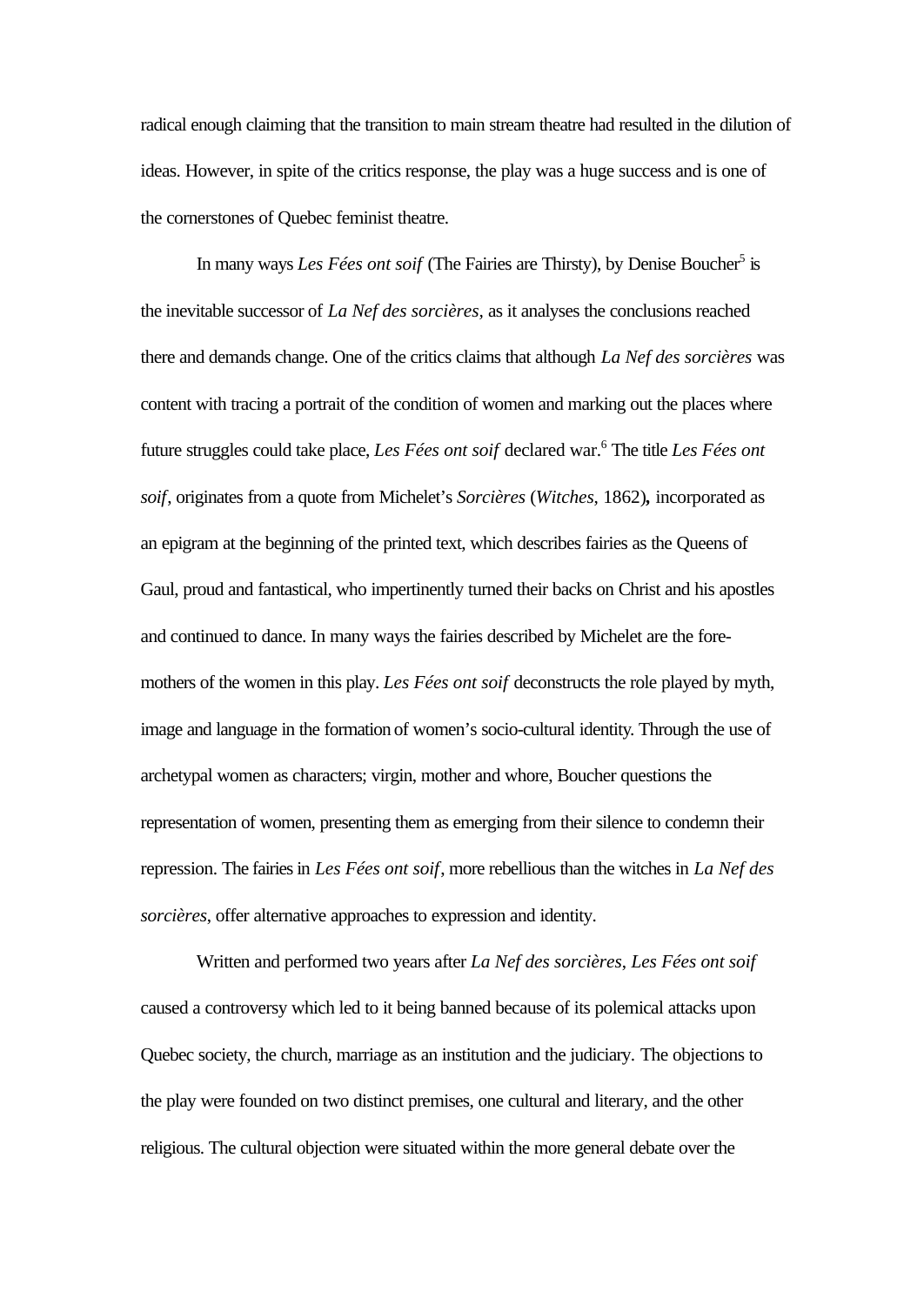radical enough claiming that the transition to main stream theatre had resulted in the dilution of ideas. However, in spite of the critics response, the play was a huge success and is one of the cornerstones of Quebec feminist theatre.

In many ways *Les Fées ont soif* (The Fairies are Thirsty), by Denise Boucher<sup>5</sup> is the inevitable successor of *La Nef des sorcières,* as it analyses the conclusions reached there and demands change. One of the critics claims that although *La Nef des sorcières* was content with tracing a portrait of the condition of women and marking out the places where future struggles could take place, *Les Fées ont soif* declared war.<sup>6</sup> The title *Les Fées ont soif*, originates from a quote from Michelet's *Sorcières* (*Witches*, 1862)*,* incorporated as an epigram at the beginning of the printed text, which describes fairies as the Queens of Gaul, proud and fantastical, who impertinently turned their backs on Christ and his apostles and continued to dance. In many ways the fairies described by Michelet are the foremothers of the women in this play. *Les Fées ont soif* deconstructs the role played by myth, image and language in the formation of women's socio-cultural identity. Through the use of archetypal women as characters; virgin, mother and whore, Boucher questions the representation of women, presenting them as emerging from their silence to condemn their repression. The fairies in *Les Fées ont soif*, more rebellious than the witches in *La Nef des sorcières*, offer alternative approaches to expression and identity.

Written and performed two years after *La Nef des sorcières*, *Les Fées ont soif* caused a controversy which led to it being banned because of its polemical attacks upon Quebec society, the church, marriage as an institution and the judiciary. The objections to the play were founded on two distinct premises, one cultural and literary, and the other religious. The cultural objection were situated within the more general debate over the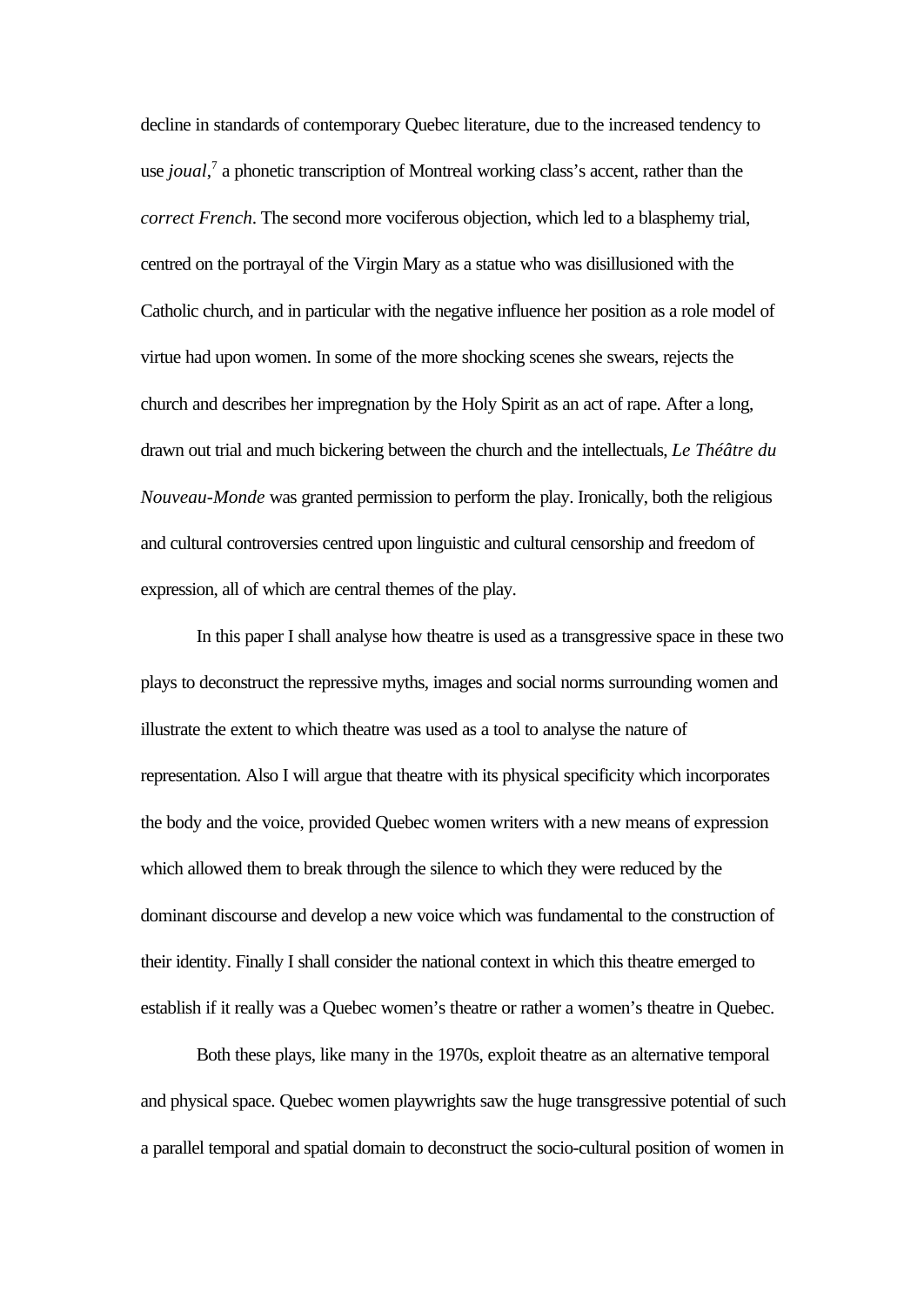decline in standards of contemporary Quebec literature, due to the increased tendency to use *joual*,<sup>7</sup> a phonetic transcription of Montreal working class's accent, rather than the *correct French*. The second more vociferous objection, which led to a blasphemy trial, centred on the portrayal of the Virgin Mary as a statue who was disillusioned with the Catholic church, and in particular with the negative influence her position as a role model of virtue had upon women. In some of the more shocking scenes she swears, rejects the church and describes her impregnation by the Holy Spirit as an act of rape. After a long, drawn out trial and much bickering between the church and the intellectuals, *Le Théâtre du Nouveau-Monde* was granted permission to perform the play. Ironically, both the religious and cultural controversies centred upon linguistic and cultural censorship and freedom of expression, all of which are central themes of the play.

In this paper I shall analyse how theatre is used as a transgressive space in these two plays to deconstruct the repressive myths, images and social norms surrounding women and illustrate the extent to which theatre was used as a tool to analyse the nature of representation. Also I will argue that theatre with its physical specificity which incorporates the body and the voice, provided Quebec women writers with a new means of expression which allowed them to break through the silence to which they were reduced by the dominant discourse and develop a new voice which was fundamental to the construction of their identity. Finally I shall consider the national context in which this theatre emerged to establish if it really was a Quebec women's theatre or rather a women's theatre in Quebec.

Both these plays, like many in the 1970s, exploit theatre as an alternative temporal and physical space. Quebec women playwrights saw the huge transgressive potential of such a parallel temporal and spatial domain to deconstruct the socio-cultural position of women in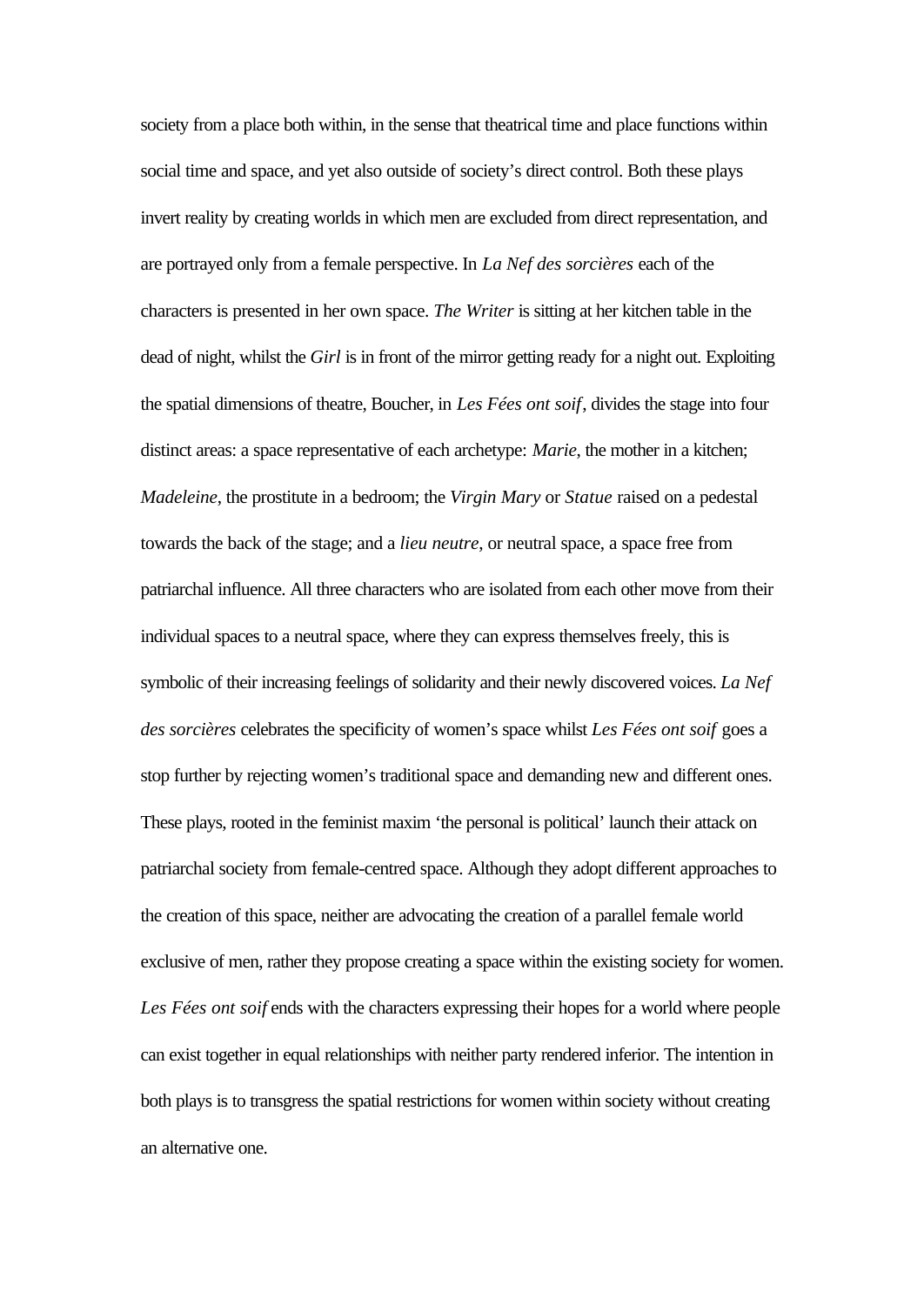society from a place both within, in the sense that theatrical time and place functions within social time and space, and yet also outside of society's direct control. Both these plays invert reality by creating worlds in which men are excluded from direct representation, and are portrayed only from a female perspective. In *La Nef des sorcières* each of the characters is presented in her own space. *The Writer* is sitting at her kitchen table in the dead of night, whilst the *Girl* is in front of the mirror getting ready for a night out. Exploiting the spatial dimensions of theatre, Boucher, in *Les Fées ont soif*, divides the stage into four distinct areas: a space representative of each archetype: *Marie*, the mother in a kitchen; *Madeleine*, the prostitute in a bedroom; the *Virgin Mary* or *Statue* raised on a pedestal towards the back of the stage; and a *lieu neutre*, or neutral space, a space free from patriarchal influence. All three characters who are isolated from each other move from their individual spaces to a neutral space, where they can express themselves freely, this is symbolic of their increasing feelings of solidarity and their newly discovered voices. *La Nef des sorcières* celebrates the specificity of women's space whilst *Les Fées ont soif* goes a stop further by rejecting women's traditional space and demanding new and different ones. These plays, rooted in the feminist maxim 'the personal is political' launch their attack on patriarchal society from female-centred space. Although they adopt different approaches to the creation of this space, neither are advocating the creation of a parallel female world exclusive of men, rather they propose creating a space within the existing society for women. Les Fées ont soif ends with the characters expressing their hopes for a world where people can exist together in equal relationships with neither party rendered inferior. The intention in both plays is to transgress the spatial restrictions for women within society without creating an alternative one.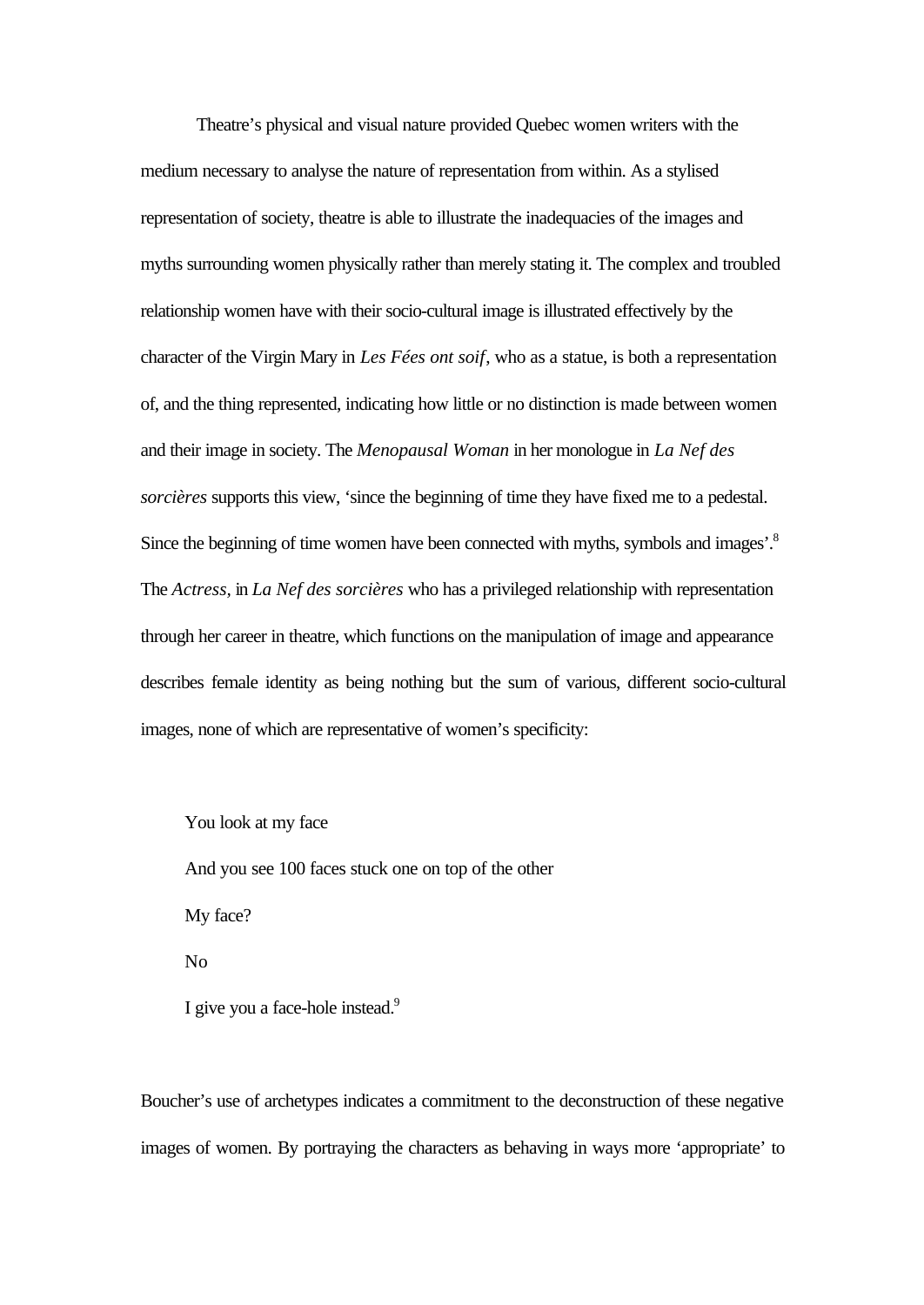Theatre's physical and visual nature provided Quebec women writers with the medium necessary to analyse the nature of representation from within. As a stylised representation of society, theatre is able to illustrate the inadequacies of the images and myths surrounding women physically rather than merely stating it. The complex and troubled relationship women have with their socio-cultural image is illustrated effectively by the character of the Virgin Mary in *Les Fées ont soif*, who as a statue, is both a representation of, and the thing represented, indicating how little or no distinction is made between women and their image in society. The *Menopausal Woman* in her monologue in *La Nef des sorcières* supports this view, 'since the beginning of time they have fixed me to a pedestal. Since the beginning of time women have been connected with myths, symbols and images'.<sup>8</sup> The *Actress,* in *La Nef des sorcières* who has a privileged relationship with representation through her career in theatre, which functions on the manipulation of image and appearance describes female identity as being nothing but the sum of various, different socio-cultural images, none of which are representative of women's specificity:

You look at my face And you see 100 faces stuck one on top of the other My face? No I give you a face-hole instead.<sup>9</sup>

Boucher's use of archetypes indicates a commitment to the deconstruction of these negative images of women. By portraying the characters as behaving in ways more 'appropriate' to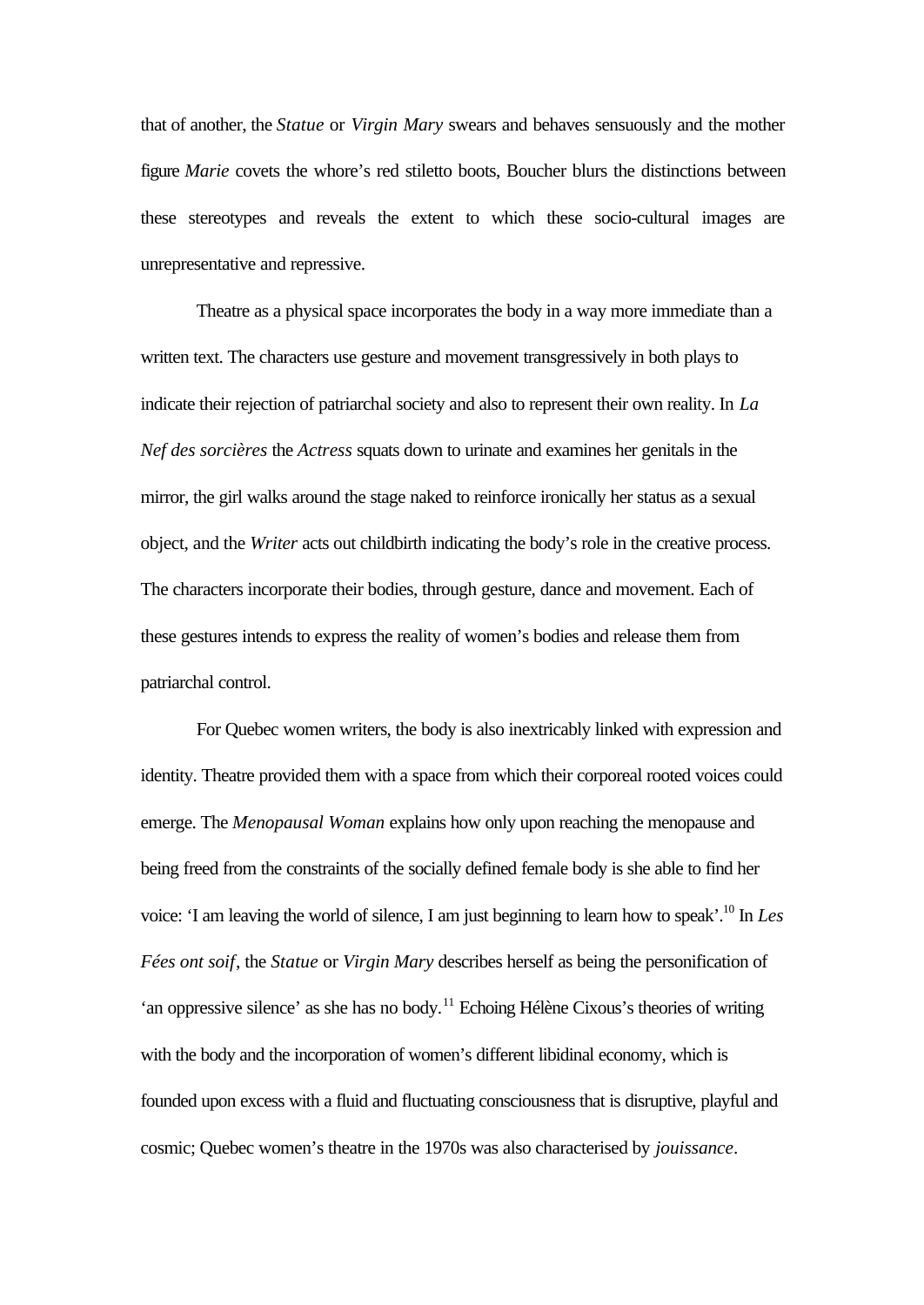that of another, the *Statue* or *Virgin Mary* swears and behaves sensuously and the mother figure *Marie* covets the whore's red stiletto boots, Boucher blurs the distinctions between these stereotypes and reveals the extent to which these socio-cultural images are unrepresentative and repressive.

Theatre as a physical space incorporates the body in a way more immediate than a written text. The characters use gesture and movement transgressively in both plays to indicate their rejection of patriarchal society and also to represent their own reality. In *La Nef des sorcières* the *Actress* squats down to urinate and examines her genitals in the mirror, the girl walks around the stage naked to reinforce ironically her status as a sexual object, and the *Writer* acts out childbirth indicating the body's role in the creative process. The characters incorporate their bodies, through gesture, dance and movement. Each of these gestures intends to express the reality of women's bodies and release them from patriarchal control.

For Quebec women writers, the body is also inextricably linked with expression and identity. Theatre provided them with a space from which their corporeal rooted voices could emerge. The *Menopausal Woman* explains how only upon reaching the menopause and being freed from the constraints of the socially defined female body is she able to find her voice: 'I am leaving the world of silence, I am just beginning to learn how to speak'.<sup>10</sup> In *Les Fées ont soif*, the *Statue* or *Virgin Mary* describes herself as being the personification of 'an oppressive silence' as she has no body.<sup>11</sup> Echoing Hélène Cixous's theories of writing with the body and the incorporation of women's different libidinal economy, which is founded upon excess with a fluid and fluctuating consciousness that is disruptive, playful and cosmic; Quebec women's theatre in the 1970s was also characterised by *jouissance*.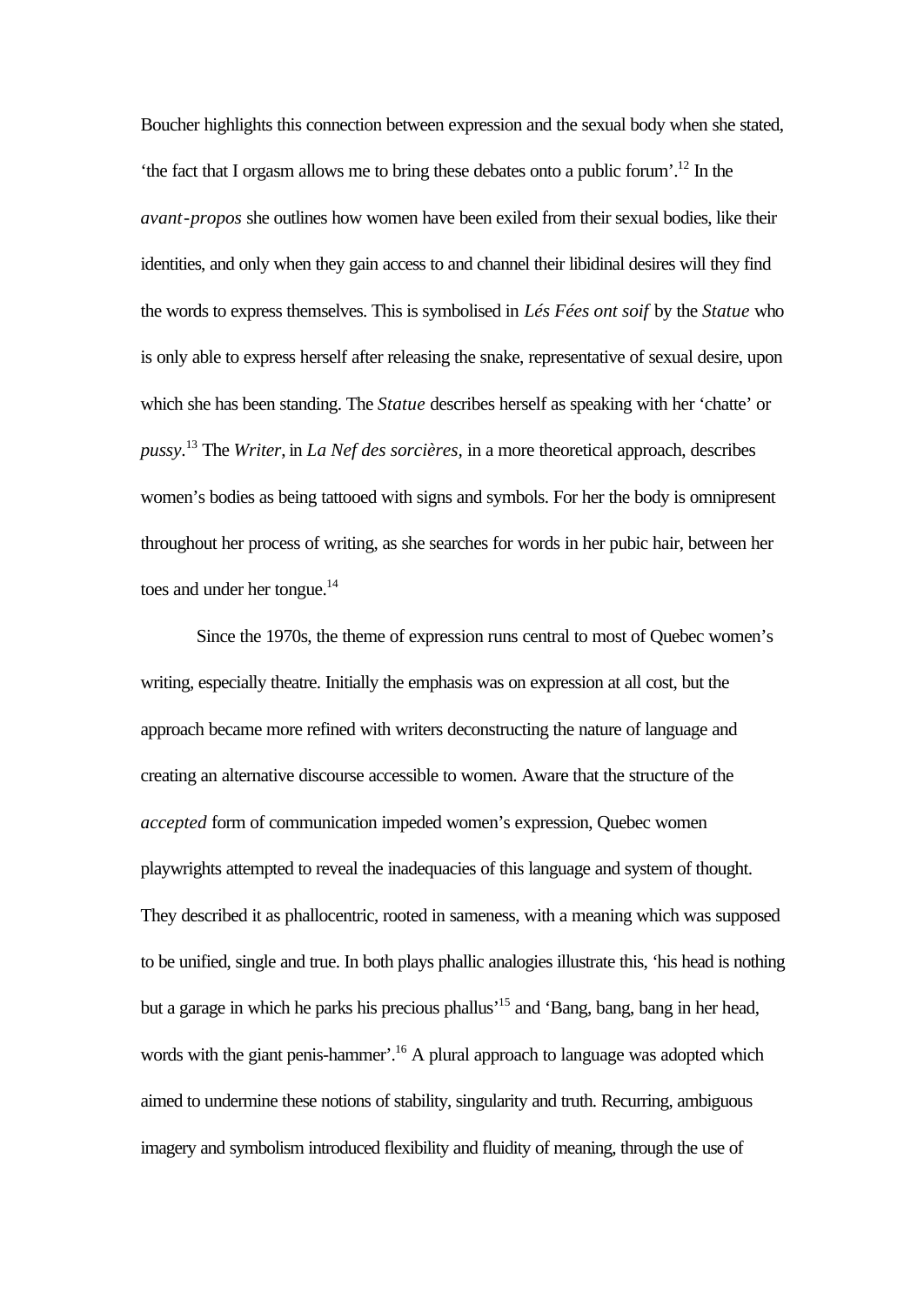Boucher highlights this connection between expression and the sexual body when she stated, 'the fact that I orgasm allows me to bring these debates onto a public forum'.<sup>12</sup> In the *avant*-*propos* she outlines how women have been exiled from their sexual bodies, like their identities, and only when they gain access to and channel their libidinal desires will they find the words to express themselves. This is symbolised in *Lés Fées ont soif* by the *Statue* who is only able to express herself after releasing the snake, representative of sexual desire, upon which she has been standing. The *Statue* describes herself as speaking with her 'chatte' or *pussy*. <sup>13</sup> The *Writer*, in *La Nef des sorcières,* in a more theoretical approach, describes women's bodies as being tattooed with signs and symbols. For her the body is omnipresent throughout her process of writing, as she searches for words in her pubic hair, between her toes and under her tongue.<sup>14</sup>

Since the 1970s, the theme of expression runs central to most of Quebec women's writing, especially theatre. Initially the emphasis was on expression at all cost, but the approach became more refined with writers deconstructing the nature of language and creating an alternative discourse accessible to women. Aware that the structure of the *accepted* form of communication impeded women's expression, Quebec women playwrights attempted to reveal the inadequacies of this language and system of thought. They described it as phallocentric, rooted in sameness, with a meaning which was supposed to be unified, single and true. In both plays phallic analogies illustrate this, 'his head is nothing but a garage in which he parks his precious phallus'<sup>15</sup> and 'Bang, bang, bang in her head, words with the giant penis-hammer'.<sup>16</sup> A plural approach to language was adopted which aimed to undermine these notions of stability, singularity and truth. Recurring, ambiguous imagery and symbolism introduced flexibility and fluidity of meaning, through the use of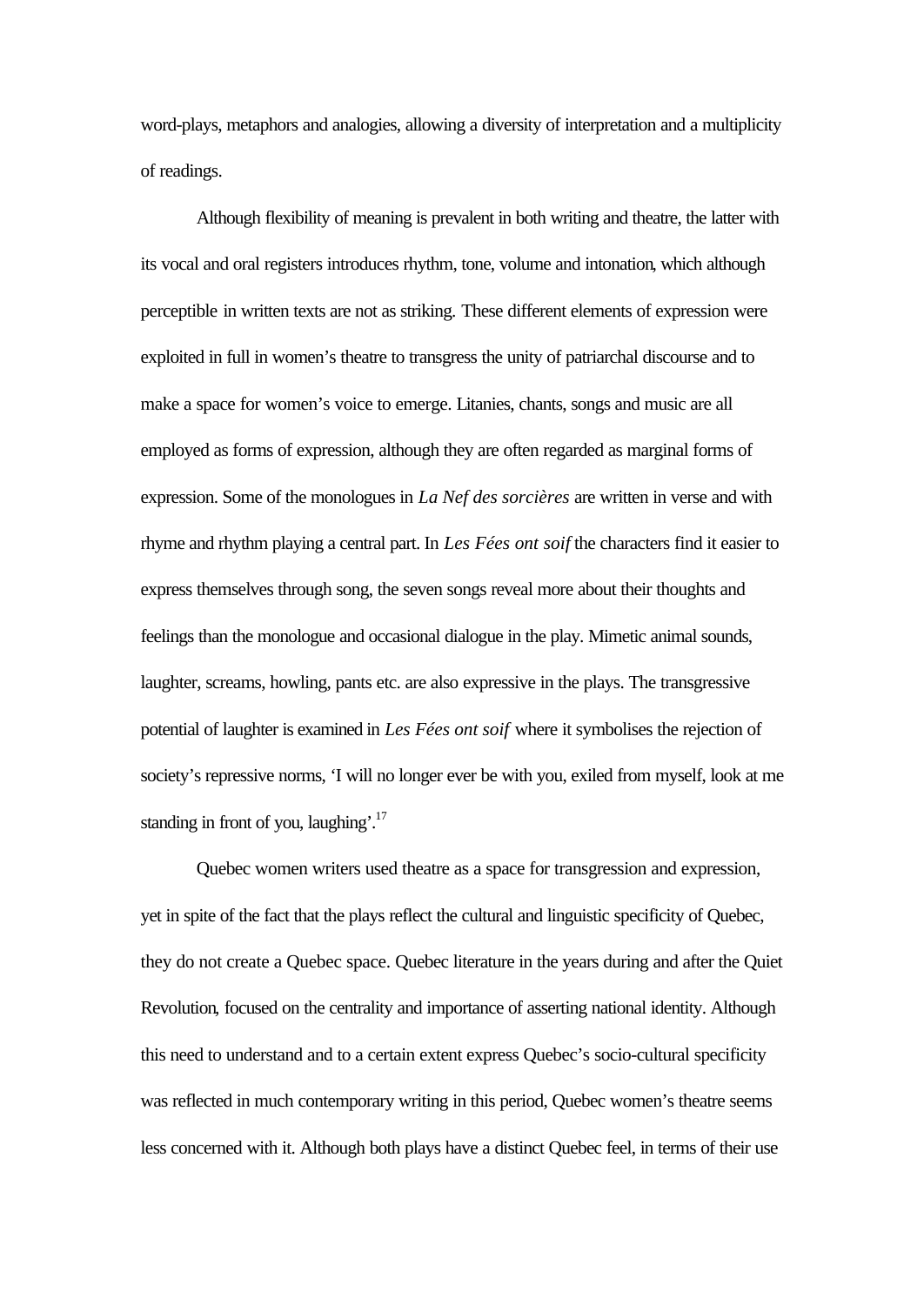word-plays, metaphors and analogies, allowing a diversity of interpretation and a multiplicity of readings.

Although flexibility of meaning is prevalent in both writing and theatre, the latter with its vocal and oral registers introduces rhythm, tone, volume and intonation, which although perceptible in written texts are not as striking. These different elements of expression were exploited in full in women's theatre to transgress the unity of patriarchal discourse and to make a space for women's voice to emerge. Litanies, chants, songs and music are all employed as forms of expression, although they are often regarded as marginal forms of expression. Some of the monologues in *La Nef des sorcières* are written in verse and with rhyme and rhythm playing a central part. In *Les Fées ont soif* the characters find it easier to express themselves through song, the seven songs reveal more about their thoughts and feelings than the monologue and occasional dialogue in the play. Mimetic animal sounds, laughter, screams, howling, pants etc. are also expressive in the plays. The transgressive potential of laughter is examined in *Les Fées ont soif* where it symbolises the rejection of society's repressive norms, 'I will no longer ever be with you, exiled from myself, look at me standing in front of you, laughing'.<sup>17</sup>

Quebec women writers used theatre as a space for transgression and expression, yet in spite of the fact that the plays reflect the cultural and linguistic specificity of Quebec, they do not create a Quebec space. Quebec literature in the years during and after the Quiet Revolution*,* focused on the centrality and importance of asserting national identity. Although this need to understand and to a certain extent express Quebec's socio-cultural specificity was reflected in much contemporary writing in this period, Quebec women's theatre seems less concerned with it. Although both plays have a distinct Quebec feel, in terms of their use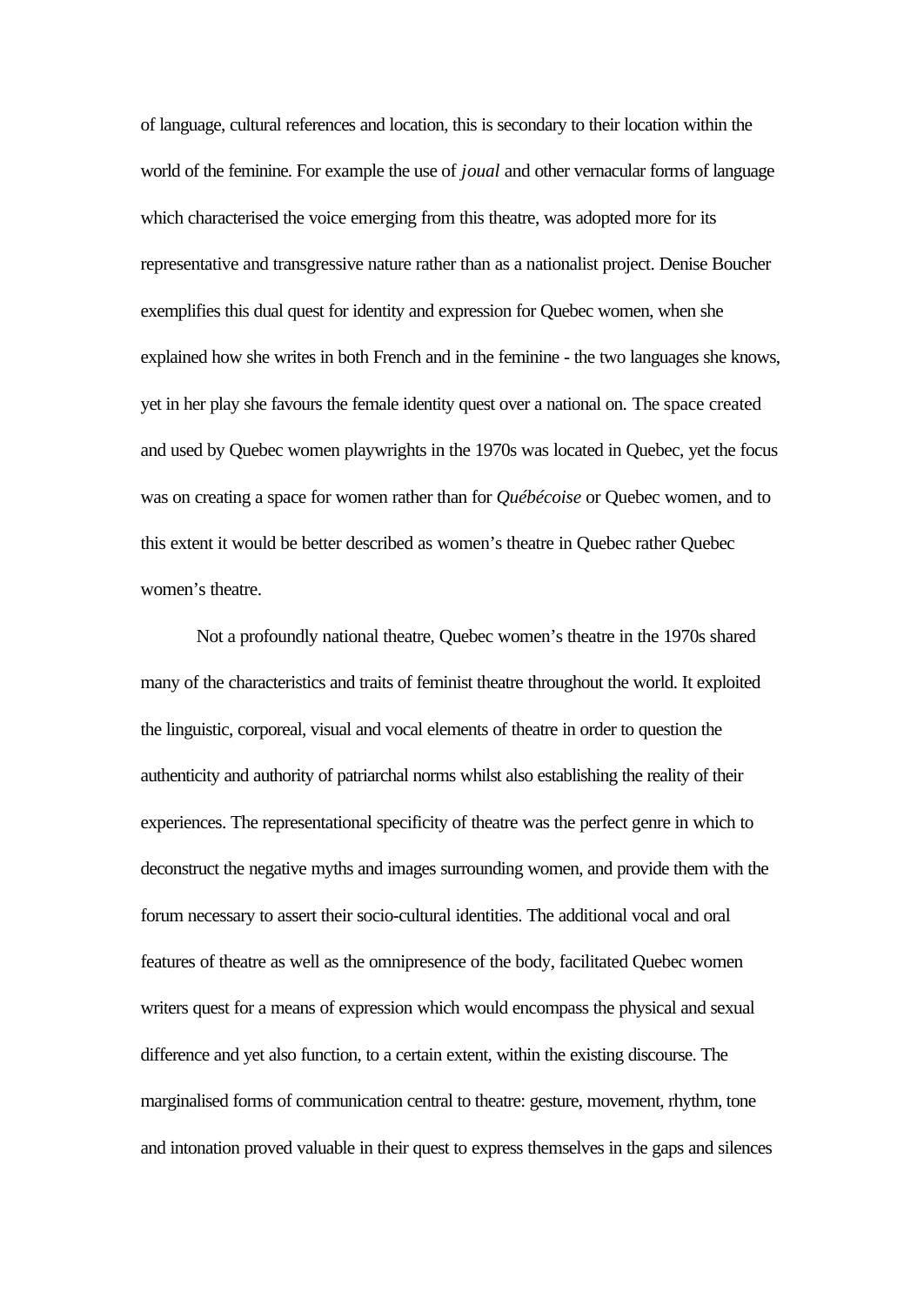of language, cultural references and location, this is secondary to their location within the world of the feminine. For example the use of *joual* and other vernacular forms of language which characterised the voice emerging from this theatre, was adopted more for its representative and transgressive nature rather than as a nationalist project. Denise Boucher exemplifies this dual quest for identity and expression for Quebec women, when she explained how she writes in both French and in the feminine - the two languages she knows, yet in her play she favours the female identity quest over a national on. The space created and used by Quebec women playwrights in the 1970s was located in Quebec, yet the focus was on creating a space for women rather than for *Québécoise* or Quebec women, and to this extent it would be better described as women's theatre in Quebec rather Quebec women's theatre.

Not a profoundly national theatre, Quebec women's theatre in the 1970s shared many of the characteristics and traits of feminist theatre throughout the world. It exploited the linguistic, corporeal, visual and vocal elements of theatre in order to question the authenticity and authority of patriarchal norms whilst also establishing the reality of their experiences. The representational specificity of theatre was the perfect genre in which to deconstruct the negative myths and images surrounding women, and provide them with the forum necessary to assert their socio-cultural identities. The additional vocal and oral features of theatre as well as the omnipresence of the body, facilitated Quebec women writers quest for a means of expression which would encompass the physical and sexual difference and yet also function, to a certain extent, within the existing discourse. The marginalised forms of communication central to theatre: gesture, movement, rhythm, tone and intonation proved valuable in their quest to express themselves in the gaps and silences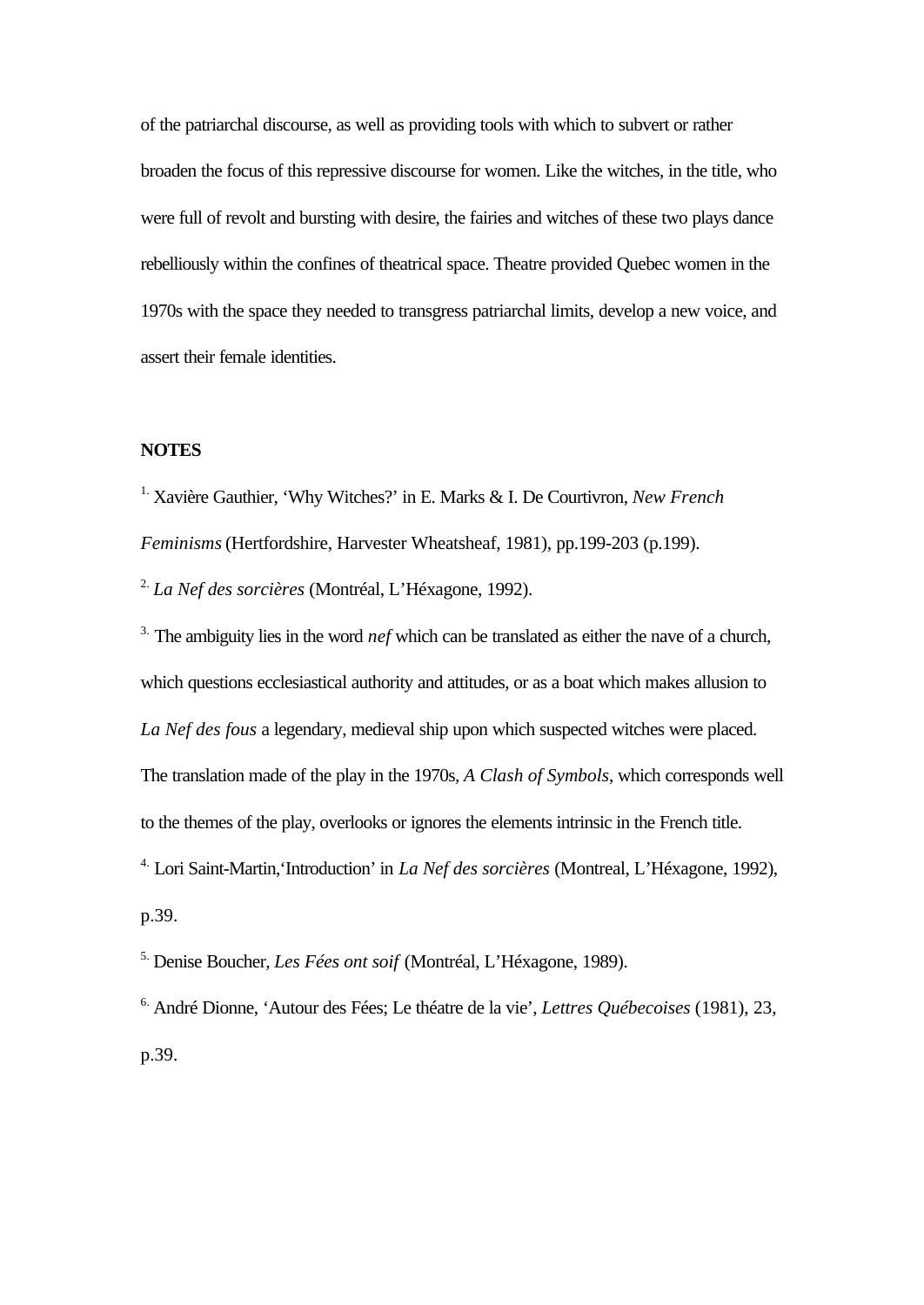of the patriarchal discourse, as well as providing tools with which to subvert or rather broaden the focus of this repressive discourse for women. Like the witches, in the title, who were full of revolt and bursting with desire, the fairies and witches of these two plays dance rebelliously within the confines of theatrical space. Theatre provided Quebec women in the 1970s with the space they needed to transgress patriarchal limits, develop a new voice, and assert their female identities.

## **NOTES**

1. Xavière Gauthier, 'Why Witches?' in E. Marks & I. De Courtivron, *New French*

*Feminisms* (Hertfordshire, Harvester Wheatsheaf, 1981), pp.199-203 (p.199).

2. *La Nef des sorcières* (Montréal, L'Héxagone, 1992).

<sup>3.</sup> The ambiguity lies in the word *nef* which can be translated as either the nave of a church, which questions ecclesiastical authority and attitudes, or as a boat which makes allusion to *La Nef des fous* a legendary, medieval ship upon which suspected witches were placed. The translation made of the play in the 1970s, *A Clash of Symbols*, which corresponds well to the themes of the play, overlooks or ignores the elements intrinsic in the French title. 4. Lori Saint-Martin,'Introduction' in *La Nef des sorcières* (Montreal, L'Héxagone, 1992), p.39.

5. Denise Boucher, *Les Fées ont soif* (Montréal, L'Héxagone, 1989).

6. André Dionne, 'Autour des Fées; Le théatre de la vie', *Lettres Québecoises* (1981), 23, p.39.